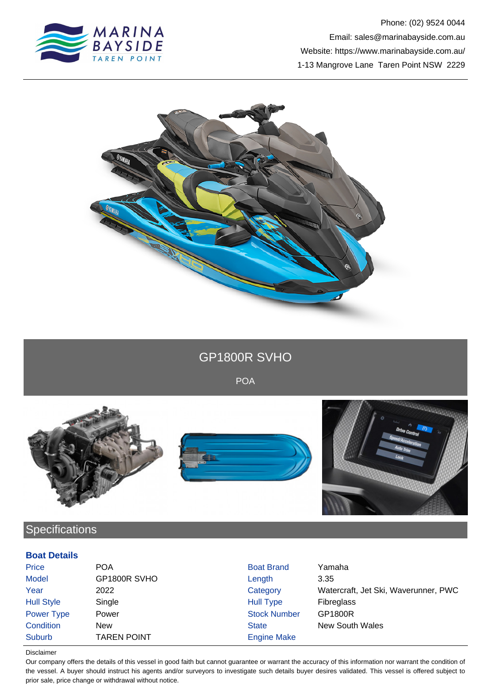



GP1800R SVHO

POA



# **Specifications**

### **Boat Details**

| Price             | <b>POA</b>         | <b>Boat Brand</b>   | Yamaha                               |
|-------------------|--------------------|---------------------|--------------------------------------|
| <b>Model</b>      | GP1800R SVHO       | Length              | 3.35                                 |
| Year              | 2022               | Category            | Watercraft, Jet Ski, Waverunner, PWC |
| <b>Hull Style</b> | Single             | Hull Type           | <b>Fibreglass</b>                    |
| Power Type        | Power              | <b>Stock Number</b> | GP1800R                              |
| Condition         | <b>New</b>         | <b>State</b>        | <b>New South Wales</b>               |
| Suburb            | <b>TAREN POINT</b> | <b>Engine Make</b>  |                                      |

Disclaimer

Our company offers the details of this vessel in good faith but cannot guarantee or warrant the accuracy of this information nor warrant the condition of the vessel. A buyer should instruct his agents and/or surveyors to investigate such details buyer desires validated. This vessel is offered subject to prior sale, price change or withdrawal without notice.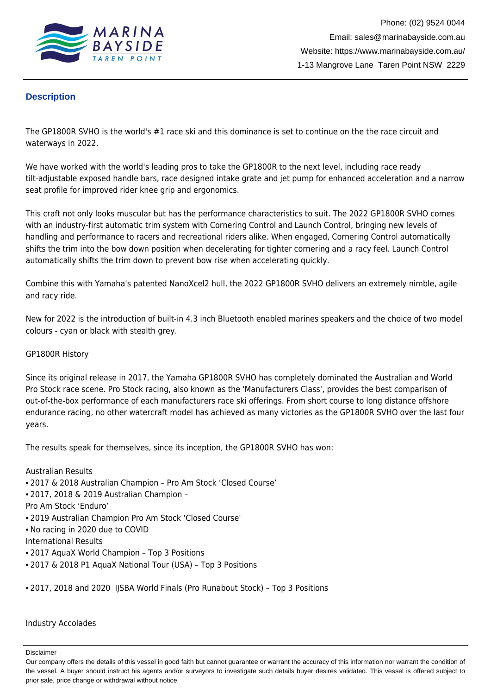

## **Description**

The GP1800R SVHO is the world's #1 race ski and this dominance is set to continue on the the race circuit and waterways in 2022.

We have worked with the world's leading pros to take the GP1800R to the next level, including race ready tilt-adjustable exposed handle bars, race designed intake grate and jet pump for enhanced acceleration and a narrow seat profile for improved rider knee grip and ergonomics.

This craft not only looks muscular but has the performance characteristics to suit. The 2022 GP1800R SVHO comes with an industry-first automatic trim system with Cornering Control and Launch Control, bringing new levels of handling and performance to racers and recreational riders alike. When engaged, Cornering Control automatically shifts the trim into the bow down position when decelerating for tighter cornering and a racy feel. Launch Control automatically shifts the trim down to prevent bow rise when accelerating quickly.

Combine this with Yamaha's patented NanoXcel2 hull, the 2022 GP1800R SVHO delivers an extremely nimble, agile and racy ride.

New for 2022 is the introduction of built-in 4.3 inch Bluetooth enabled marines speakers and the choice of two model colours - cyan or black with stealth grey.

#### GP1800R History

Since its original release in 2017, the Yamaha GP1800R SVHO has completely dominated the Australian and World Pro Stock race scene. Pro Stock racing, also known as the 'Manufacturers Class', provides the best comparison of out-of-the-box performance of each manufacturers race ski offerings. From short course to long distance offshore endurance racing, no other watercraft model has achieved as many victories as the GP1800R SVHO over the last four years.

The results speak for themselves, since its inception, the GP1800R SVHO has won:

#### Australian Results

- 2017 & 2018 Australian Champion Pro Am Stock 'Closed Course'
- 2017, 2018 & 2019 Australian Champion –

Pro Am Stock 'Enduro'

- 2019 Australian Champion Pro Am Stock 'Closed Course'
- No racing in 2020 due to COVID

International Results

- 2017 AquaX World Champion Top 3 Positions
- 2017 & 2018 P1 AquaX National Tour (USA) Top 3 Positions
- 2017, 2018 and 2020 IJSBA World Finals (Pro Runabout Stock) Top 3 Positions

#### Industry Accolades

Disclaimer

Our company offers the details of this vessel in good faith but cannot guarantee or warrant the accuracy of this information nor warrant the condition of the vessel. A buyer should instruct his agents and/or surveyors to investigate such details buyer desires validated. This vessel is offered subject to prior sale, price change or withdrawal without notice.